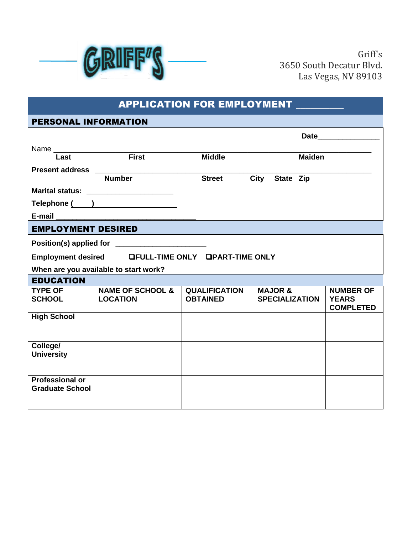

| <b>APPLICATION FOR EMPLOYMENT</b>                |                                                      |                                         |                                             |                                                      |
|--------------------------------------------------|------------------------------------------------------|-----------------------------------------|---------------------------------------------|------------------------------------------------------|
| <b>PERSONAL INFORMATION</b>                      |                                                      |                                         |                                             |                                                      |
|                                                  |                                                      |                                         |                                             |                                                      |
|                                                  |                                                      |                                         |                                             |                                                      |
| Last                                             | First                                                | <b>Middle</b>                           | <b>Maiden</b>                               |                                                      |
|                                                  | Present address ___________________<br><b>Number</b> | <b>Street</b>                           |                                             |                                                      |
|                                                  |                                                      |                                         | City State Zip                              |                                                      |
|                                                  | Marital status: ________________________             |                                         |                                             |                                                      |
|                                                  | Telephone ( )                                        |                                         |                                             |                                                      |
|                                                  |                                                      |                                         |                                             |                                                      |
| <b>EMPLOYMENT DESIRED</b>                        |                                                      |                                         |                                             |                                                      |
|                                                  |                                                      |                                         |                                             |                                                      |
|                                                  | Employment desired GFULL-TIME ONLY GPART-TIME ONLY   |                                         |                                             |                                                      |
|                                                  | When are you available to start work?                |                                         |                                             |                                                      |
| <b>EDUCATION</b>                                 |                                                      |                                         |                                             |                                                      |
| <b>TYPE OF</b><br><b>SCHOOL</b>                  | NAME OF SCHOOL &<br><b>LOCATION</b>                  | <b>QUALIFICATION</b><br><b>OBTAINED</b> | <b>MAJOR &amp;</b><br><b>SPECIALIZATION</b> | <b>NUMBER OF</b><br><b>YEARS</b><br><b>COMPLETED</b> |
| <b>High School</b>                               |                                                      |                                         |                                             |                                                      |
| College/<br><b>University</b>                    |                                                      |                                         |                                             |                                                      |
| <b>Professional or</b><br><b>Graduate School</b> |                                                      |                                         |                                             |                                                      |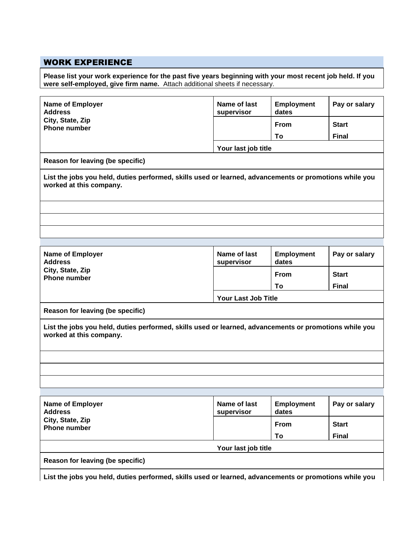## WORK EXPERIENCE

**Please list your work experience for the past five years beginning with your most recent job held. If you were self-employed, give firm name.** Attach additional sheets if necessary.

| City, State, Zip<br><b>From</b><br><b>Start</b><br><b>Phone number</b><br><b>Final</b><br>To<br>Your last job title<br>Reason for leaving (be specific)<br>List the jobs you held, duties performed, skills used or learned, advancements or promotions while you<br>worked at this company. |  |  |  |  |
|----------------------------------------------------------------------------------------------------------------------------------------------------------------------------------------------------------------------------------------------------------------------------------------------|--|--|--|--|
|                                                                                                                                                                                                                                                                                              |  |  |  |  |
|                                                                                                                                                                                                                                                                                              |  |  |  |  |
|                                                                                                                                                                                                                                                                                              |  |  |  |  |
|                                                                                                                                                                                                                                                                                              |  |  |  |  |
|                                                                                                                                                                                                                                                                                              |  |  |  |  |
|                                                                                                                                                                                                                                                                                              |  |  |  |  |
|                                                                                                                                                                                                                                                                                              |  |  |  |  |
|                                                                                                                                                                                                                                                                                              |  |  |  |  |
| Name of last<br>Pay or salary<br><b>Name of Employer</b><br><b>Employment</b><br><b>Address</b><br>dates<br>supervisor                                                                                                                                                                       |  |  |  |  |
| City, State, Zip<br><b>Start</b><br><b>From</b><br><b>Phone number</b>                                                                                                                                                                                                                       |  |  |  |  |
| <b>Final</b><br>To                                                                                                                                                                                                                                                                           |  |  |  |  |
| Your Last Job Title                                                                                                                                                                                                                                                                          |  |  |  |  |
| Reason for leaving (be specific)                                                                                                                                                                                                                                                             |  |  |  |  |
| List the jobs you held, duties performed, skills used or learned, advancements or promotions while you<br>worked at this company.                                                                                                                                                            |  |  |  |  |
|                                                                                                                                                                                                                                                                                              |  |  |  |  |
|                                                                                                                                                                                                                                                                                              |  |  |  |  |
|                                                                                                                                                                                                                                                                                              |  |  |  |  |
|                                                                                                                                                                                                                                                                                              |  |  |  |  |
| Name of last<br><b>Name of Employer</b><br><b>Employment</b><br>Pay or salary<br><b>Address</b><br>supervisor<br>dates                                                                                                                                                                       |  |  |  |  |
| City, State, Zip<br><b>Start</b><br>From<br><b>Phone number</b>                                                                                                                                                                                                                              |  |  |  |  |
| <b>Final</b><br>To                                                                                                                                                                                                                                                                           |  |  |  |  |
| Your last job title                                                                                                                                                                                                                                                                          |  |  |  |  |
| Reason for leaving (be specific)                                                                                                                                                                                                                                                             |  |  |  |  |

**List the jobs you held, duties performed, skills used or learned, advancements or promotions while you**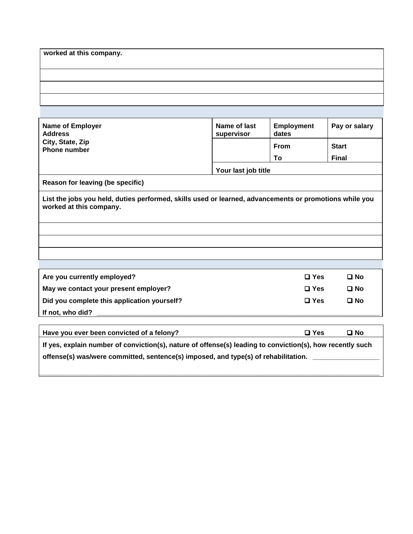| worked at this company. |  |  |
|-------------------------|--|--|
|                         |  |  |
|                         |  |  |
|                         |  |  |
|                         |  |  |
|                         |  |  |

| <b>Name of Employer</b><br><b>Address</b>                                                                                         | Name of last<br>supervisor | <b>Employment</b><br>dates | Pay or salary |
|-----------------------------------------------------------------------------------------------------------------------------------|----------------------------|----------------------------|---------------|
| City, State, Zip<br><b>Phone number</b>                                                                                           |                            | <b>From</b>                | <b>Start</b>  |
|                                                                                                                                   |                            | To                         | <b>Final</b>  |
|                                                                                                                                   | Your last job title        |                            |               |
| Reason for leaving (be specific)                                                                                                  |                            |                            |               |
| List the jobs you held, duties performed, skills used or learned, advancements or promotions while you<br>worked at this company. |                            |                            |               |
|                                                                                                                                   |                            |                            |               |
|                                                                                                                                   |                            |                            |               |
|                                                                                                                                   |                            |                            |               |
|                                                                                                                                   |                            |                            |               |
| Are you currently employed?                                                                                                       |                            | $\square$ Yes              | $\square$ No  |
| May we contact your present employer?                                                                                             |                            | $\square$ Yes              | $\square$ No  |
| Did you complete this application yourself?                                                                                       |                            | $\square$ Yes              | $\square$ No  |
| If not, who did?                                                                                                                  |                            |                            |               |

| Have you ever been convicted of a felony?                                                                 | $\square$ Yes | □ No |
|-----------------------------------------------------------------------------------------------------------|---------------|------|
| If yes, explain number of conviction(s), nature of offense(s) leading to conviction(s), how recently such |               |      |
| $\mid$ offense(s) was/were committed, sentence(s) imposed, and type(s) of rehabilitation.                 |               |      |
|                                                                                                           |               |      |

**\_\_\_\_\_\_\_\_\_\_\_\_\_\_\_\_\_\_\_\_\_\_\_\_\_\_\_\_\_\_\_\_\_\_\_\_\_\_\_\_\_\_\_\_\_\_\_\_\_\_\_\_\_\_\_\_\_\_\_\_\_\_\_\_\_\_\_\_\_\_\_\_\_\_\_\_\_\_\_\_\_\_\_\_\_\_\_\_\_\_\_\_**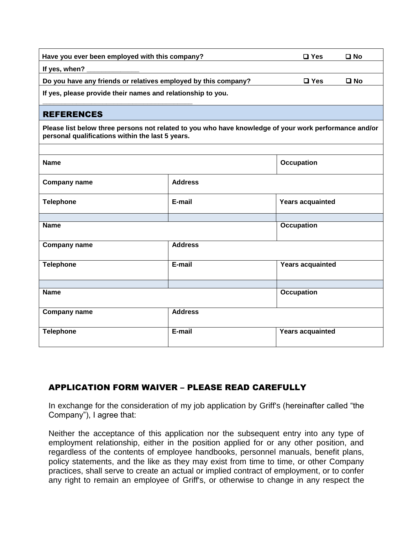| Have you ever been employed with this company?                 |                | $\square$ No<br>$\square$ Yes                                                                         |
|----------------------------------------------------------------|----------------|-------------------------------------------------------------------------------------------------------|
| If yes, when?                                                  |                |                                                                                                       |
| Do you have any friends or relatives employed by this company? |                | $\square$ No<br>$\Box$ Yes                                                                            |
| If yes, please provide their names and relationship to you.    |                |                                                                                                       |
| <b>REFERENCES</b>                                              |                |                                                                                                       |
| personal qualifications within the last 5 years.               |                | Please list below three persons not related to you who have knowledge of your work performance and/or |
|                                                                |                |                                                                                                       |
| <b>Name</b>                                                    |                | <b>Occupation</b>                                                                                     |
| <b>Company name</b>                                            | <b>Address</b> |                                                                                                       |
| <b>Telephone</b>                                               | E-mail         | <b>Years acquainted</b>                                                                               |
|                                                                |                |                                                                                                       |
| <b>Name</b>                                                    |                | <b>Occupation</b>                                                                                     |
| <b>Company name</b>                                            | <b>Address</b> |                                                                                                       |
| <b>Telephone</b>                                               | E-mail         | <b>Years acquainted</b>                                                                               |
|                                                                |                |                                                                                                       |
| <b>Name</b>                                                    |                | <b>Occupation</b>                                                                                     |
| Company name                                                   | <b>Address</b> |                                                                                                       |
| <b>Telephone</b>                                               | E-mail         | <b>Years acquainted</b>                                                                               |

## APPLICATION FORM WAIVER – PLEASE READ CAREFULLY

In exchange for the consideration of my job application by Griff's (hereinafter called "the Company"), I agree that:

Neither the acceptance of this application nor the subsequent entry into any type of employment relationship, either in the position applied for or any other position, and regardless of the contents of employee handbooks, personnel manuals, benefit plans, policy statements, and the like as they may exist from time to time, or other Company practices, shall serve to create an actual or implied contract of employment, or to confer any right to remain an employee of Griff's, or otherwise to change in any respect the